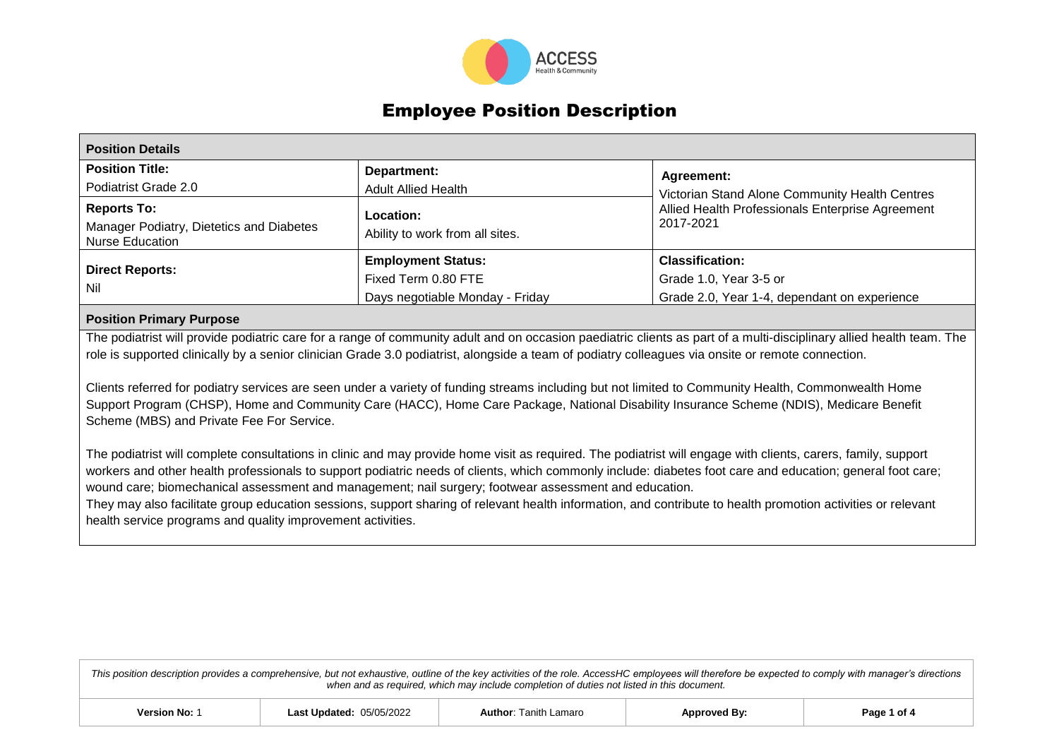

## Employee Position Description

| <b>Position Details</b>                                                                  |                                                                                     |                                                                                                                 |  |  |
|------------------------------------------------------------------------------------------|-------------------------------------------------------------------------------------|-----------------------------------------------------------------------------------------------------------------|--|--|
| <b>Position Title:</b><br>Podiatrist Grade 2.0                                           | Department:<br><b>Adult Allied Health</b>                                           | <b>Agreement:</b>                                                                                               |  |  |
| <b>Reports To:</b><br>Manager Podiatry, Dietetics and Diabetes<br><b>Nurse Education</b> | Location:<br>Ability to work from all sites.                                        | Victorian Stand Alone Community Health Centres<br>Allied Health Professionals Enterprise Agreement<br>2017-2021 |  |  |
| <b>Direct Reports:</b><br>Nil                                                            | <b>Employment Status:</b><br>Fixed Term 0.80 FTE<br>Days negotiable Monday - Friday | <b>Classification:</b><br>Grade 1.0, Year 3-5 or<br>Grade 2.0, Year 1-4, dependant on experience                |  |  |

## **Position Primary Purpose**

The podiatrist will provide podiatric care for a range of community adult and on occasion paediatric clients as part of a multi-disciplinary allied health team. The role is supported clinically by a senior clinician Grade 3.0 podiatrist, alongside a team of podiatry colleagues via onsite or remote connection.

Clients referred for podiatry services are seen under a variety of funding streams including but not limited to Community Health, Commonwealth Home Support Program (CHSP), Home and Community Care (HACC), Home Care Package, National Disability Insurance Scheme (NDIS), Medicare Benefit Scheme (MBS) and Private Fee For Service.

The podiatrist will complete consultations in clinic and may provide home visit as required. The podiatrist will engage with clients, carers, family, support workers and other health professionals to support podiatric needs of clients, which commonly include: diabetes foot care and education; general foot care; wound care; biomechanical assessment and management; nail surgery; footwear assessment and education.

They may also facilitate group education sessions, support sharing of relevant health information, and contribute to health promotion activities or relevant health service programs and quality improvement activities.

*This position description provides a comprehensive, but not exhaustive, outline of the key activities of the role. AccessHC employees will therefore be expected to comply with manager's directions when and as required, which may include completion of duties not listed in this document.*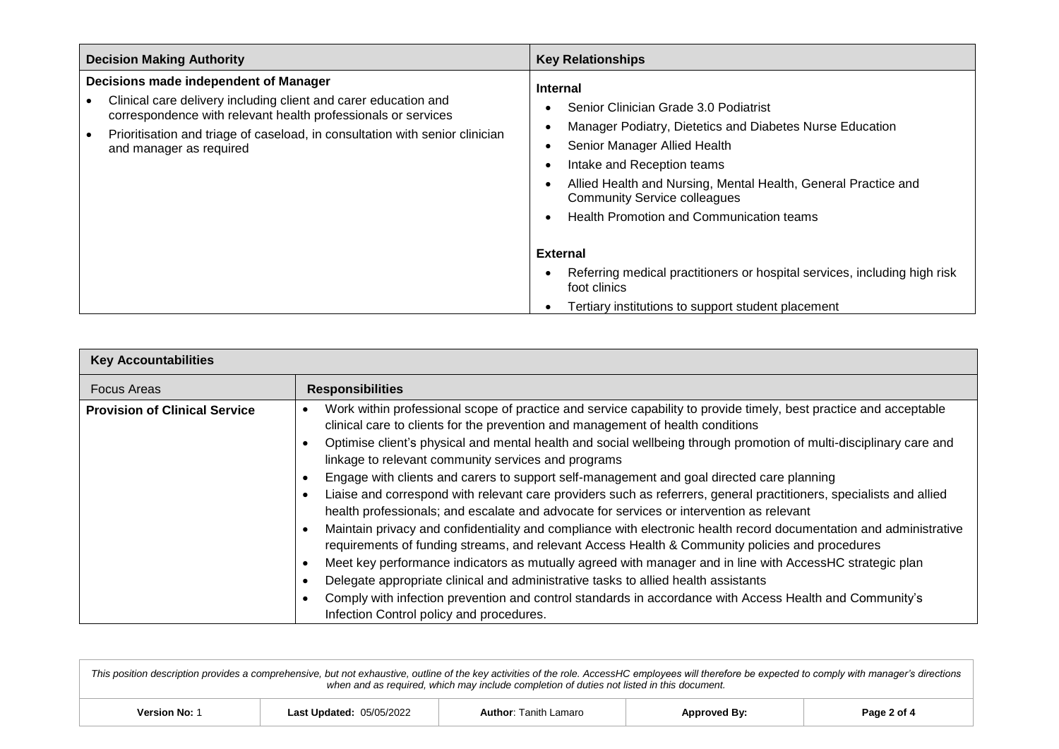| <b>Decision Making Authority</b>                                                                                                                                                                                                                                                     | <b>Key Relationships</b>                                                                                                                                                                                                                                                                                                                                                                                                                                |
|--------------------------------------------------------------------------------------------------------------------------------------------------------------------------------------------------------------------------------------------------------------------------------------|---------------------------------------------------------------------------------------------------------------------------------------------------------------------------------------------------------------------------------------------------------------------------------------------------------------------------------------------------------------------------------------------------------------------------------------------------------|
| Decisions made independent of Manager<br>Clinical care delivery including client and carer education and<br>correspondence with relevant health professionals or services<br>Prioritisation and triage of caseload, in consultation with senior clinician<br>and manager as required | <b>Internal</b><br>Senior Clinician Grade 3.0 Podiatrist<br>Manager Podiatry, Dietetics and Diabetes Nurse Education<br>Senior Manager Allied Health<br>Intake and Reception teams<br>Allied Health and Nursing, Mental Health, General Practice and<br><b>Community Service colleagues</b><br>Health Promotion and Communication teams<br><b>External</b><br>Referring medical practitioners or hospital services, including high risk<br>foot clinics |
|                                                                                                                                                                                                                                                                                      | Tertiary institutions to support student placement                                                                                                                                                                                                                                                                                                                                                                                                      |

| <b>Key Accountabilities</b>          |                                                                                                                                                                                                                                                                                                                                                                                                                                                                                                                                                                                                                                                                                                                                                                                                                                                                                                                                                                                                                                                                                                                              |
|--------------------------------------|------------------------------------------------------------------------------------------------------------------------------------------------------------------------------------------------------------------------------------------------------------------------------------------------------------------------------------------------------------------------------------------------------------------------------------------------------------------------------------------------------------------------------------------------------------------------------------------------------------------------------------------------------------------------------------------------------------------------------------------------------------------------------------------------------------------------------------------------------------------------------------------------------------------------------------------------------------------------------------------------------------------------------------------------------------------------------------------------------------------------------|
| <b>Focus Areas</b>                   | <b>Responsibilities</b>                                                                                                                                                                                                                                                                                                                                                                                                                                                                                                                                                                                                                                                                                                                                                                                                                                                                                                                                                                                                                                                                                                      |
| <b>Provision of Clinical Service</b> | Work within professional scope of practice and service capability to provide timely, best practice and acceptable<br>clinical care to clients for the prevention and management of health conditions<br>Optimise client's physical and mental health and social wellbeing through promotion of multi-disciplinary care and<br>linkage to relevant community services and programs<br>Engage with clients and carers to support self-management and goal directed care planning<br>Liaise and correspond with relevant care providers such as referrers, general practitioners, specialists and allied<br>health professionals; and escalate and advocate for services or intervention as relevant<br>Maintain privacy and confidentiality and compliance with electronic health record documentation and administrative<br>requirements of funding streams, and relevant Access Health & Community policies and procedures<br>Meet key performance indicators as mutually agreed with manager and in line with AccessHC strategic plan<br>Delegate appropriate clinical and administrative tasks to allied health assistants |
|                                      | Comply with infection prevention and control standards in accordance with Access Health and Community's<br>Infection Control policy and procedures.                                                                                                                                                                                                                                                                                                                                                                                                                                                                                                                                                                                                                                                                                                                                                                                                                                                                                                                                                                          |

*This position description provides a comprehensive, but not exhaustive, outline of the key activities of the role. AccessHC employees will therefore be expected to comply with manager's directions when and as required, which may include completion of duties not listed in this document.*

| no o c<br>ı Lamaro<br>anıth<br>∟as<br>ndated<br>∍ane<br>Author:<br>Version No<br>המוח<br>$\sim$<br>~"<br>ה של <i>אני יי</i> |
|-----------------------------------------------------------------------------------------------------------------------------|
|-----------------------------------------------------------------------------------------------------------------------------|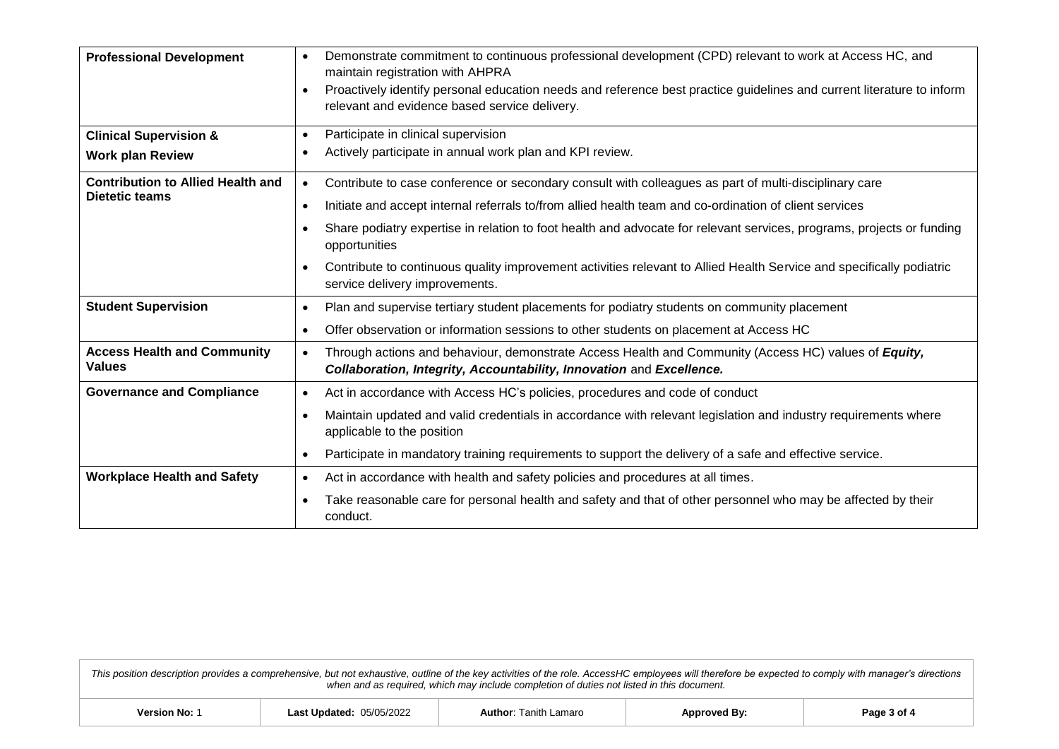| <b>Professional Development</b><br><b>Clinical Supervision &amp;</b> | Demonstrate commitment to continuous professional development (CPD) relevant to work at Access HC, and<br>maintain registration with AHPRA<br>Proactively identify personal education needs and reference best practice guidelines and current literature to inform<br>relevant and evidence based service delivery.<br>Participate in clinical supervision<br>$\bullet$                                                                                                                                                                                   |
|----------------------------------------------------------------------|------------------------------------------------------------------------------------------------------------------------------------------------------------------------------------------------------------------------------------------------------------------------------------------------------------------------------------------------------------------------------------------------------------------------------------------------------------------------------------------------------------------------------------------------------------|
| <b>Work plan Review</b>                                              | Actively participate in annual work plan and KPI review.                                                                                                                                                                                                                                                                                                                                                                                                                                                                                                   |
| <b>Contribution to Allied Health and</b><br><b>Dietetic teams</b>    | Contribute to case conference or secondary consult with colleagues as part of multi-disciplinary care<br>$\bullet$<br>Initiate and accept internal referrals to/from allied health team and co-ordination of client services<br>$\bullet$<br>Share podiatry expertise in relation to foot health and advocate for relevant services, programs, projects or funding<br>opportunities<br>Contribute to continuous quality improvement activities relevant to Allied Health Service and specifically podiatric<br>$\bullet$<br>service delivery improvements. |
| <b>Student Supervision</b>                                           | Plan and supervise tertiary student placements for podiatry students on community placement<br>$\bullet$                                                                                                                                                                                                                                                                                                                                                                                                                                                   |
|                                                                      | Offer observation or information sessions to other students on placement at Access HC<br>$\bullet$                                                                                                                                                                                                                                                                                                                                                                                                                                                         |
| <b>Access Health and Community</b><br><b>Values</b>                  | Through actions and behaviour, demonstrate Access Health and Community (Access HC) values of Equity,<br>$\bullet$<br>Collaboration, Integrity, Accountability, Innovation and Excellence.                                                                                                                                                                                                                                                                                                                                                                  |
| <b>Governance and Compliance</b>                                     | Act in accordance with Access HC's policies, procedures and code of conduct<br>$\bullet$                                                                                                                                                                                                                                                                                                                                                                                                                                                                   |
|                                                                      | Maintain updated and valid credentials in accordance with relevant legislation and industry requirements where<br>applicable to the position                                                                                                                                                                                                                                                                                                                                                                                                               |
|                                                                      | Participate in mandatory training requirements to support the delivery of a safe and effective service.<br>$\bullet$                                                                                                                                                                                                                                                                                                                                                                                                                                       |
| <b>Workplace Health and Safety</b>                                   | Act in accordance with health and safety policies and procedures at all times.<br>$\bullet$                                                                                                                                                                                                                                                                                                                                                                                                                                                                |
|                                                                      | Take reasonable care for personal health and safety and that of other personnel who may be affected by their<br>conduct.                                                                                                                                                                                                                                                                                                                                                                                                                                   |

*This position description provides a comprehensive, but not exhaustive, outline of the key activities of the role. AccessHC employees will therefore be expected to comply with manager's directions when and as required, which may include completion of duties not listed in this document.*